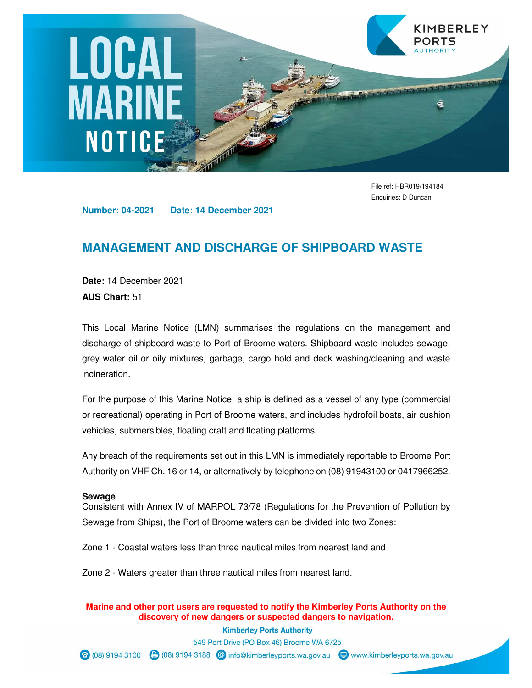# **LOCAL**<br>MARINE NOTICE

File ref: HBR019/194184 Enquiries: D Duncan

KIMBERLEY

PORTS

**Number: 04-2021 Date: 14 December 2021** 

#### **MANAGEMENT AND DISCHARGE OF SHIPBOARD WASTE**

**Date:** 14 December 2021 **AUS Chart:** 51

This Local Marine Notice (LMN) summarises the regulations on the management and discharge of shipboard waste to Port of Broome waters. Shipboard waste includes sewage, grey water oil or oily mixtures, garbage, cargo hold and deck washing/cleaning and waste incineration.

For the purpose of this Marine Notice, a ship is defined as a vessel of any type (commercial or recreational) operating in Port of Broome waters, and includes hydrofoil boats, air cushion vehicles, submersibles, floating craft and floating platforms.

Any breach of the requirements set out in this LMN is immediately reportable to Broome Port Authority on VHF Ch. 16 or 14, or alternatively by telephone on (08) 91943100 or 0417966252.

#### **Sewage**

Consistent with Annex IV of MARPOL 73/78 (Regulations for the Prevention of Pollution by Sewage from Ships), the Port of Broome waters can be divided into two Zones:

Zone 1 - Coastal waters less than three nautical miles from nearest land and

Zone 2 - Waters greater than three nautical miles from nearest land.

**Marine and other port users are requested to notify the Kimberley Ports Authority on the discovery of new dangers or suspected dangers to navigation.** 

> **Kimberley Ports Authority** 549 Port Drive (PO Box 46) Broome WA 6725

⊙ (08) 9194 3100 ( (08) 9194 3188 © info@kimberleyports.wa.gov.au D www.kimberleyports.wa.gov.au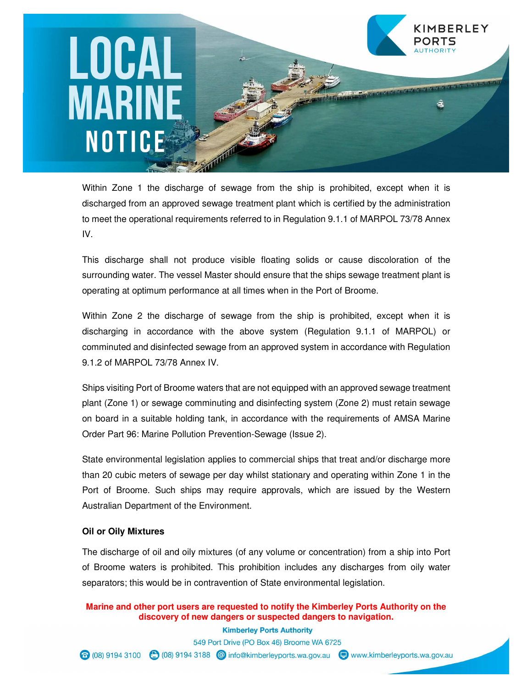### KIMBERLEY LOCAL **MARINE** NOTICE

Within Zone 1 the discharge of sewage from the ship is prohibited, except when it is discharged from an approved sewage treatment plant which is certified by the administration to meet the operational requirements referred to in Regulation 9.1.1 of MARPOL 73/78 Annex IV.

This discharge shall not produce visible floating solids or cause discoloration of the surrounding water. The vessel Master should ensure that the ships sewage treatment plant is operating at optimum performance at all times when in the Port of Broome.

Within Zone 2 the discharge of sewage from the ship is prohibited, except when it is discharging in accordance with the above system (Regulation 9.1.1 of MARPOL) or comminuted and disinfected sewage from an approved system in accordance with Regulation 9.1.2 of MARPOL 73/78 Annex IV.

Ships visiting Port of Broome waters that are not equipped with an approved sewage treatment plant (Zone 1) or sewage comminuting and disinfecting system (Zone 2) must retain sewage on board in a suitable holding tank, in accordance with the requirements of AMSA Marine Order Part 96: Marine Pollution Prevention-Sewage (Issue 2).

State environmental legislation applies to commercial ships that treat and/or discharge more than 20 cubic meters of sewage per day whilst stationary and operating within Zone 1 in the Port of Broome. Such ships may require approvals, which are issued by the Western Australian Department of the Environment.

#### **Oil or Oily Mixtures**

The discharge of oil and oily mixtures (of any volume or concentration) from a ship into Port of Broome waters is prohibited. This prohibition includes any discharges from oily water separators; this would be in contravention of State environmental legislation.

**Marine and other port users are requested to notify the Kimberley Ports Authority on the discovery of new dangers or suspected dangers to navigation.** 

**Kimberley Ports Authority** 549 Port Drive (PO Box 46) Broome WA 6725 ⊙ (08) 9194 3100 ( (08) 9194 3188 © info@kimberleyports.wa.gov.au D www.kimberleyports.wa.gov.au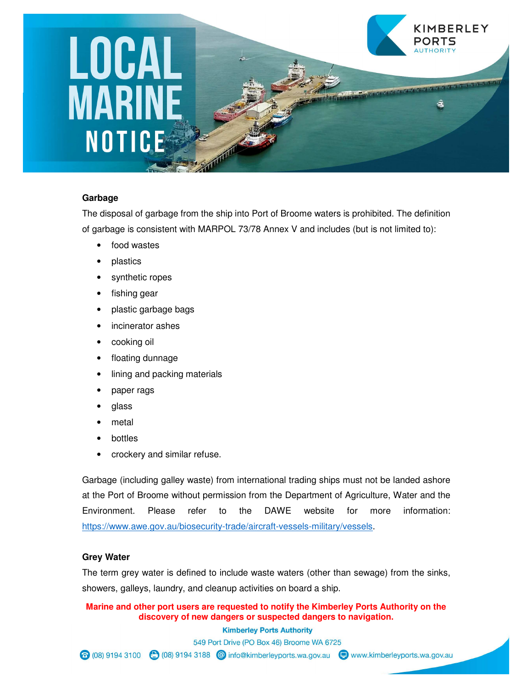### KIMBERLEY **LOCAL<br>MARINE** PORTS NOTICE

#### **Garbage**

The disposal of garbage from the ship into Port of Broome waters is prohibited. The definition of garbage is consistent with MARPOL 73/78 Annex V and includes (but is not limited to):

- food wastes
- plastics
- synthetic ropes
- fishing gear
- plastic garbage bags
- incinerator ashes
- cooking oil
- floating dunnage
- lining and packing materials
- paper rags
- glass
- metal
- **bottles**
- crockery and similar refuse.

Garbage (including galley waste) from international trading ships must not be landed ashore at the Port of Broome without permission from the Department of Agriculture, Water and the Environment. Please refer to the DAWE website for more information: https://www.awe.gov.au/biosecurity-trade/aircraft-vessels-military/vessels.

#### **Grey Water**

The term grey water is defined to include waste waters (other than sewage) from the sinks, showers, galleys, laundry, and cleanup activities on board a ship.

#### **Marine and other port users are requested to notify the Kimberley Ports Authority on the discovery of new dangers or suspected dangers to navigation.**

**Kimberley Ports Authority** 

549 Port Drive (PO Box 46) Broome WA 6725

⊙ (08) 9194 3100 ( (08) 9194 3188 © info@kimberleyports.wa.gov.au D www.kimberleyports.wa.gov.au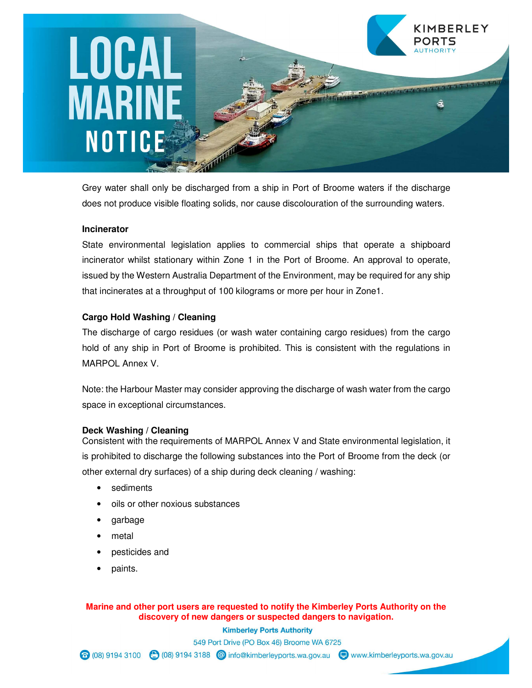## LOCAL **MARINE** NOTICE

Grey water shall only be discharged from a ship in Port of Broome waters if the discharge does not produce visible floating solids, nor cause discolouration of the surrounding waters.

KIMBERLEY

#### **Incinerator**

State environmental legislation applies to commercial ships that operate a shipboard incinerator whilst stationary within Zone 1 in the Port of Broome. An approval to operate, issued by the Western Australia Department of the Environment, may be required for any ship that incinerates at a throughput of 100 kilograms or more per hour in Zone1.

#### **Cargo Hold Washing / Cleaning**

The discharge of cargo residues (or wash water containing cargo residues) from the cargo hold of any ship in Port of Broome is prohibited. This is consistent with the regulations in MARPOL Annex V.

Note: the Harbour Master may consider approving the discharge of wash water from the cargo space in exceptional circumstances.

#### **Deck Washing / Cleaning**

Consistent with the requirements of MARPOL Annex V and State environmental legislation, it is prohibited to discharge the following substances into the Port of Broome from the deck (or other external dry surfaces) of a ship during deck cleaning / washing:

- sediments
- oils or other noxious substances
- garbage
- metal
- pesticides and
- paints.

**Marine and other port users are requested to notify the Kimberley Ports Authority on the discovery of new dangers or suspected dangers to navigation.** 

> **Kimberley Ports Authority** 549 Port Drive (PO Box 46) Broome WA 6725

⊙ (08) 9194 3100 ( (08) 9194 3188 © info@kimberleyports.wa.gov.au D www.kimberleyports.wa.gov.au